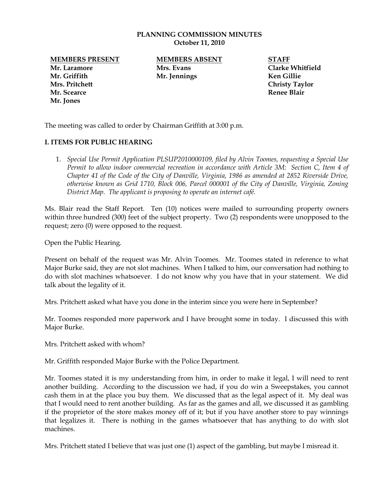## **PLANNING COMMISSION MINUTES October 11, 2010**

**Mr. Laramore Mrs. Evans Clarke Whitfield Mr. Griffith Mr. Jennings Ken Gillie Mrs. Pritchett Christy Taylor Mr. Scearce Renee Blair Mr. Jones**

**MEMBERS PRESENT MEMBERS ABSENT STAFF**

The meeting was called to order by Chairman Griffith at 3:00 p.m.

## **I. ITEMS FOR PUBLIC HEARING**

1. *Special Use Permit Application PLSUP2010000109, filed by Alvin Toomes, requesting a Special Use Permit to allow indoor commercial recreation in accordance with Article 3M: Section C, Item 4 of Chapter 41 of the Code of the City of Danville, Virginia, 1986 as amended at 2852 Riverside Drive, otherwise known as Grid 1710, Block 006, Parcel 000001 of the City of Danville, Virginia, Zoning District Map. The applicant is proposing to operate an internet café.*

Ms. Blair read the Staff Report. Ten (10) notices were mailed to surrounding property owners within three hundred (300) feet of the subject property. Two (2) respondents were unopposed to the request; zero (0) were opposed to the request.

Open the Public Hearing.

Present on behalf of the request was Mr. Alvin Toomes. Mr. Toomes stated in reference to what Major Burke said, they are not slot machines. When I talked to him, our conversation had nothing to do with slot machines whatsoever. I do not know why you have that in your statement. We did talk about the legality of it.

Mrs. Pritchett asked what have you done in the interim since you were here in September?

Mr. Toomes responded more paperwork and I have brought some in today. I discussed this with Major Burke.

Mrs. Pritchett asked with whom?

Mr. Griffith responded Major Burke with the Police Department.

Mr. Toomes stated it is my understanding from him, in order to make it legal, I will need to rent another building. According to the discussion we had, if you do win a Sweepstakes, you cannot cash them in at the place you buy them. We discussed that as the legal aspect of it. My deal was that I would need to rent another building. As far as the games and all, we discussed it as gambling if the proprietor of the store makes money off of it; but if you have another store to pay winnings that legalizes it. There is nothing in the games whatsoever that has anything to do with slot machines.

Mrs. Pritchett stated I believe that was just one (1) aspect of the gambling, but maybe I misread it.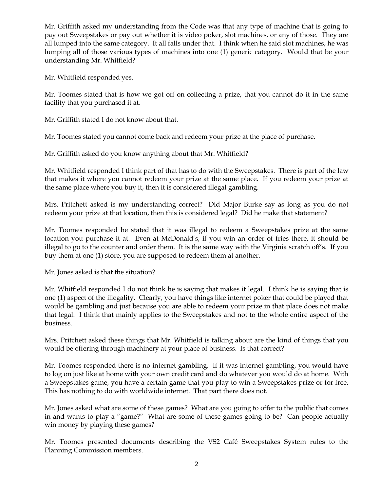Mr. Griffith asked my understanding from the Code was that any type of machine that is going to pay out Sweepstakes or pay out whether it is video poker, slot machines, or any of those. They are all lumped into the same category. It all falls under that. I think when he said slot machines, he was lumping all of those various types of machines into one (1) generic category. Would that be your understanding Mr. Whitfield?

Mr. Whitfield responded yes.

Mr. Toomes stated that is how we got off on collecting a prize, that you cannot do it in the same facility that you purchased it at.

Mr. Griffith stated I do not know about that.

Mr. Toomes stated you cannot come back and redeem your prize at the place of purchase.

Mr. Griffith asked do you know anything about that Mr. Whitfield?

Mr. Whitfield responded I think part of that has to do with the Sweepstakes. There is part of the law that makes it where you cannot redeem your prize at the same place. If you redeem your prize at the same place where you buy it, then it is considered illegal gambling.

Mrs. Pritchett asked is my understanding correct? Did Major Burke say as long as you do not redeem your prize at that location, then this is considered legal? Did he make that statement?

Mr. Toomes responded he stated that it was illegal to redeem a Sweepstakes prize at the same location you purchase it at. Even at McDonald's, if you win an order of fries there, it should be illegal to go to the counter and order them. It is the same way with the Virginia scratch off's. If you buy them at one (1) store, you are supposed to redeem them at another.

Mr. Jones asked is that the situation?

Mr. Whitfield responded I do not think he is saying that makes it legal. I think he is saying that is one (1) aspect of the illegality. Clearly, you have things like internet poker that could be played that would be gambling and just because you are able to redeem your prize in that place does not make that legal. I think that mainly applies to the Sweepstakes and not to the whole entire aspect of the business.

Mrs. Pritchett asked these things that Mr. Whitfield is talking about are the kind of things that you would be offering through machinery at your place of business. Is that correct?

Mr. Toomes responded there is no internet gambling. If it was internet gambling, you would have to log on just like at home with your own credit card and do whatever you would do at home. With a Sweepstakes game, you have a certain game that you play to win a Sweepstakes prize or for free. This has nothing to do with worldwide internet. That part there does not.

Mr. Jones asked what are some of these games? What are you going to offer to the public that comes in and wants to play a "game?" What are some of these games going to be? Can people actually win money by playing these games?

Mr. Toomes presented documents describing the VS2 Café Sweepstakes System rules to the Planning Commission members.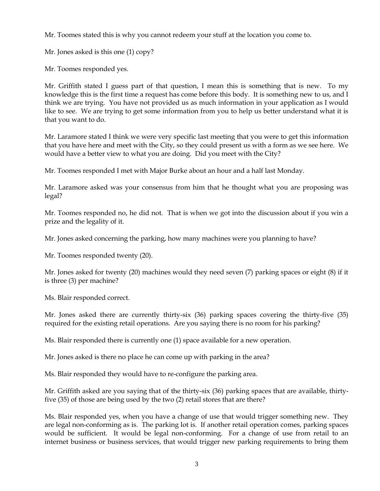Mr. Toomes stated this is why you cannot redeem your stuff at the location you come to.

Mr. Jones asked is this one (1) copy?

Mr. Toomes responded yes.

Mr. Griffith stated I guess part of that question, I mean this is something that is new. To my knowledge this is the first time a request has come before this body. It is something new to us, and I think we are trying. You have not provided us as much information in your application as I would like to see. We are trying to get some information from you to help us better understand what it is that you want to do.

Mr. Laramore stated I think we were very specific last meeting that you were to get this information that you have here and meet with the City, so they could present us with a form as we see here. We would have a better view to what you are doing. Did you meet with the City?

Mr. Toomes responded I met with Major Burke about an hour and a half last Monday.

Mr. Laramore asked was your consensus from him that he thought what you are proposing was legal?

Mr. Toomes responded no, he did not. That is when we got into the discussion about if you win a prize and the legality of it.

Mr. Jones asked concerning the parking, how many machines were you planning to have?

Mr. Toomes responded twenty (20).

Mr. Jones asked for twenty (20) machines would they need seven (7) parking spaces or eight (8) if it is three (3) per machine?

Ms. Blair responded correct.

Mr. Jones asked there are currently thirty-six (36) parking spaces covering the thirty-five (35) required for the existing retail operations. Are you saying there is no room for his parking?

Ms. Blair responded there is currently one (1) space available for a new operation.

Mr. Jones asked is there no place he can come up with parking in the area?

Ms. Blair responded they would have to re-configure the parking area.

Mr. Griffith asked are you saying that of the thirty-six (36) parking spaces that are available, thirtyfive (35) of those are being used by the two (2) retail stores that are there?

Ms. Blair responded yes, when you have a change of use that would trigger something new. They are legal non-conforming as is. The parking lot is. If another retail operation comes, parking spaces would be sufficient. It would be legal non-conforming. For a change of use from retail to an internet business or business services, that would trigger new parking requirements to bring them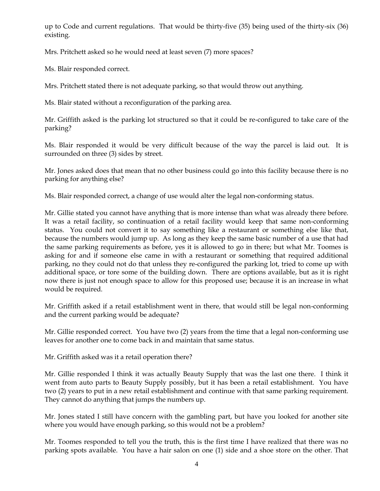up to Code and current regulations. That would be thirty-five (35) being used of the thirty-six (36) existing.

Mrs. Pritchett asked so he would need at least seven (7) more spaces?

Ms. Blair responded correct.

Mrs. Pritchett stated there is not adequate parking, so that would throw out anything.

Ms. Blair stated without a reconfiguration of the parking area.

Mr. Griffith asked is the parking lot structured so that it could be re-configured to take care of the parking?

Ms. Blair responded it would be very difficult because of the way the parcel is laid out. It is surrounded on three (3) sides by street.

Mr. Jones asked does that mean that no other business could go into this facility because there is no parking for anything else?

Ms. Blair responded correct, a change of use would alter the legal non-conforming status.

Mr. Gillie stated you cannot have anything that is more intense than what was already there before. It was a retail facility, so continuation of a retail facility would keep that same non-conforming status. You could not convert it to say something like a restaurant or something else like that, because the numbers would jump up. As long as they keep the same basic number of a use that had the same parking requirements as before, yes it is allowed to go in there; but what Mr. Toomes is asking for and if someone else came in with a restaurant or something that required additional parking, no they could not do that unless they re-configured the parking lot, tried to come up with additional space, or tore some of the building down. There are options available, but as it is right now there is just not enough space to allow for this proposed use; because it is an increase in what would be required.

Mr. Griffith asked if a retail establishment went in there, that would still be legal non-conforming and the current parking would be adequate?

Mr. Gillie responded correct. You have two (2) years from the time that a legal non-conforming use leaves for another one to come back in and maintain that same status.

Mr. Griffith asked was it a retail operation there?

Mr. Gillie responded I think it was actually Beauty Supply that was the last one there. I think it went from auto parts to Beauty Supply possibly, but it has been a retail establishment. You have two (2) years to put in a new retail establishment and continue with that same parking requirement. They cannot do anything that jumps the numbers up.

Mr. Jones stated I still have concern with the gambling part, but have you looked for another site where you would have enough parking, so this would not be a problem?

Mr. Toomes responded to tell you the truth, this is the first time I have realized that there was no parking spots available. You have a hair salon on one (1) side and a shoe store on the other. That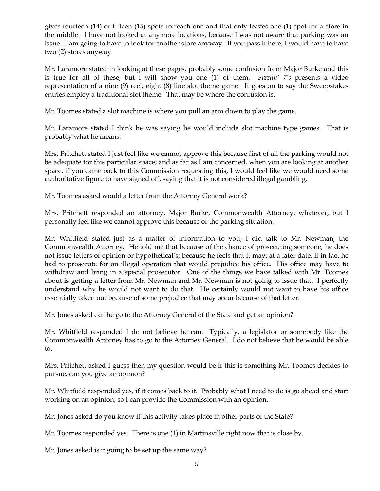gives fourteen (14) or fifteen (15) spots for each one and that only leaves one (1) spot for a store in the middle. I have not looked at anymore locations, because I was not aware that parking was an issue. I am going to have to look for another store anyway. If you pass it here, I would have to have two (2) stores anyway.

Mr. Laramore stated in looking at these pages, probably some confusion from Major Burke and this is true for all of these, but I will show you one (1) of them. *Sizzlin' 7's* presents a video representation of a nine (9) reel, eight (8) line slot theme game. It goes on to say the Sweepstakes entries employ a traditional slot theme. That may be where the confusion is.

Mr. Toomes stated a slot machine is where you pull an arm down to play the game.

Mr. Laramore stated I think he was saying he would include slot machine type games. That is probably what he means.

Mrs. Pritchett stated I just feel like we cannot approve this because first of all the parking would not be adequate for this particular space; and as far as I am concerned, when you are looking at another space, if you came back to this Commission requesting this, I would feel like we would need some authoritative figure to have signed off, saying that it is not considered illegal gambling.

Mr. Toomes asked would a letter from the Attorney General work?

Mrs. Pritchett responded an attorney, Major Burke, Commonwealth Attorney, whatever, but I personally feel like we cannot approve this because of the parking situation.

Mr. Whitfield stated just as a matter of information to you, I did talk to Mr. Newman, the Commonwealth Attorney. He told me that because of the chance of prosecuting someone, he does not issue letters of opinion or hypothetical's; because he feels that it may, at a later date, if in fact he had to prosecute for an illegal operation that would prejudice his office. His office may have to withdraw and bring in a special prosecutor. One of the things we have talked with Mr. Toomes about is getting a letter from Mr. Newman and Mr. Newman is not going to issue that. I perfectly understand why he would not want to do that. He certainly would not want to have his office essentially taken out because of some prejudice that may occur because of that letter.

Mr. Jones asked can he go to the Attorney General of the State and get an opinion?

Mr. Whitfield responded I do not believe he can. Typically, a legislator or somebody like the Commonwealth Attorney has to go to the Attorney General. I do not believe that he would be able to.

Mrs. Pritchett asked I guess then my question would be if this is something Mr. Toomes decides to pursue, can you give an opinion?

Mr. Whitfield responded yes, if it comes back to it. Probably what I need to do is go ahead and start working on an opinion, so I can provide the Commission with an opinion.

Mr. Jones asked do you know if this activity takes place in other parts of the State?

Mr. Toomes responded yes. There is one (1) in Martinsville right now that is close by.

Mr. Jones asked is it going to be set up the same way?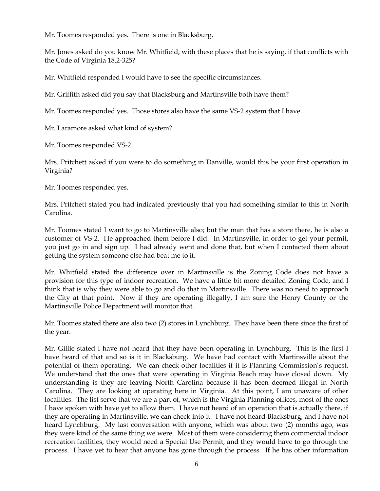Mr. Toomes responded yes. There is one in Blacksburg.

Mr. Jones asked do you know Mr. Whitfield, with these places that he is saying, if that conflicts with the Code of Virginia 18.2-325?

Mr. Whitfield responded I would have to see the specific circumstances.

Mr. Griffith asked did you say that Blacksburg and Martinsville both have them?

Mr. Toomes responded yes. Those stores also have the same VS-2 system that I have.

Mr. Laramore asked what kind of system?

Mr. Toomes responded VS-2.

Mrs. Pritchett asked if you were to do something in Danville, would this be your first operation in Virginia?

Mr. Toomes responded yes.

Mrs. Pritchett stated you had indicated previously that you had something similar to this in North Carolina.

Mr. Toomes stated I want to go to Martinsville also; but the man that has a store there, he is also a customer of VS-2. He approached them before I did. In Martinsville, in order to get your permit, you just go in and sign up. I had already went and done that, but when I contacted them about getting the system someone else had beat me to it.

Mr. Whitfield stated the difference over in Martinsville is the Zoning Code does not have a provision for this type of indoor recreation. We have a little bit more detailed Zoning Code, and I think that is why they were able to go and do that in Martinsville. There was no need to approach the City at that point. Now if they are operating illegally, I am sure the Henry County or the Martinsville Police Department will monitor that.

Mr. Toomes stated there are also two (2) stores in Lynchburg. They have been there since the first of the year.

Mr. Gillie stated I have not heard that they have been operating in Lynchburg. This is the first I have heard of that and so is it in Blacksburg. We have had contact with Martinsville about the potential of them operating. We can check other localities if it is Planning Commission's request. We understand that the ones that were operating in Virginia Beach may have closed down. My understanding is they are leaving North Carolina because it has been deemed illegal in North Carolina. They are looking at operating here in Virginia. At this point, I am unaware of other localities. The list serve that we are a part of, which is the Virginia Planning offices, most of the ones I have spoken with have yet to allow them. I have not heard of an operation that is actually there, if they are operating in Martinsville, we can check into it. I have not heard Blacksburg, and I have not heard Lynchburg. My last conversation with anyone, which was about two (2) months ago, was they were kind of the same thing we were. Most of them were considering them commercial indoor recreation facilities, they would need a Special Use Permit, and they would have to go through the process. I have yet to hear that anyone has gone through the process. If he has other information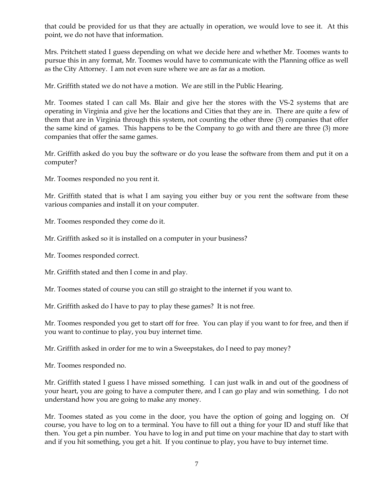that could be provided for us that they are actually in operation, we would love to see it. At this point, we do not have that information.

Mrs. Pritchett stated I guess depending on what we decide here and whether Mr. Toomes wants to pursue this in any format, Mr. Toomes would have to communicate with the Planning office as well as the City Attorney. I am not even sure where we are as far as a motion.

Mr. Griffith stated we do not have a motion. We are still in the Public Hearing.

Mr. Toomes stated I can call Ms. Blair and give her the stores with the VS-2 systems that are operating in Virginia and give her the locations and Cities that they are in. There are quite a few of them that are in Virginia through this system, not counting the other three (3) companies that offer the same kind of games. This happens to be the Company to go with and there are three (3) more companies that offer the same games.

Mr. Griffith asked do you buy the software or do you lease the software from them and put it on a computer?

Mr. Toomes responded no you rent it.

Mr. Griffith stated that is what I am saying you either buy or you rent the software from these various companies and install it on your computer.

Mr. Toomes responded they come do it.

Mr. Griffith asked so it is installed on a computer in your business?

Mr. Toomes responded correct.

Mr. Griffith stated and then I come in and play.

Mr. Toomes stated of course you can still go straight to the internet if you want to.

Mr. Griffith asked do I have to pay to play these games? It is not free.

Mr. Toomes responded you get to start off for free. You can play if you want to for free, and then if you want to continue to play, you buy internet time.

Mr. Griffith asked in order for me to win a Sweepstakes, do I need to pay money?

Mr. Toomes responded no.

Mr. Griffith stated I guess I have missed something. I can just walk in and out of the goodness of your heart, you are going to have a computer there, and I can go play and win something. I do not understand how you are going to make any money.

Mr. Toomes stated as you come in the door, you have the option of going and logging on. Of course, you have to log on to a terminal. You have to fill out a thing for your ID and stuff like that then. You get a pin number. You have to log in and put time on your machine that day to start with and if you hit something, you get a hit. If you continue to play, you have to buy internet time.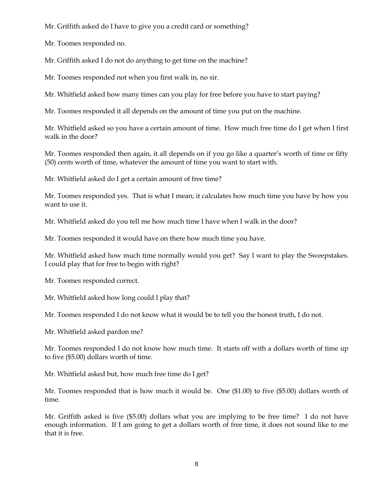Mr. Griffith asked do I have to give you a credit card or something?

Mr. Toomes responded no.

Mr. Griffith asked I do not do anything to get time on the machine?

Mr. Toomes responded not when you first walk in, no sir.

Mr. Whitfield asked how many times can you play for free before you have to start paying?

Mr. Toomes responded it all depends on the amount of time you put on the machine.

Mr. Whitfield asked so you have a certain amount of time. How much free time do I get when I first walk in the door?

Mr. Toomes responded then again, it all depends on if you go like a quarter's worth of time or fifty (50) cents worth of time, whatever the amount of time you want to start with.

Mr. Whitfield asked do I get a certain amount of free time?

Mr. Toomes responded yes. That is what I mean; it calculates how much time you have by how you want to use it.

Mr. Whitfield asked do you tell me how much time I have when I walk in the door?

Mr. Toomes responded it would have on there how much time you have.

Mr. Whitfield asked how much time normally would you get? Say I want to play the Sweepstakes. I could play that for free to begin with right?

Mr. Toomes responded correct.

Mr. Whitfield asked how long could I play that?

Mr. Toomes responded I do not know what it would be to tell you the honest truth, I do not.

Mr. Whitfield asked pardon me?

Mr. Toomes responded I do not know how much time. It starts off with a dollars worth of time up to five (\$5.00) dollars worth of time.

Mr. Whitfield asked but, how much free time do I get?

Mr. Toomes responded that is how much it would be. One (\$1.00) to five (\$5.00) dollars worth of time.

Mr. Griffith asked is five (\$5.00) dollars what you are implying to be free time? I do not have enough information. If I am going to get a dollars worth of free time, it does not sound like to me that it is free.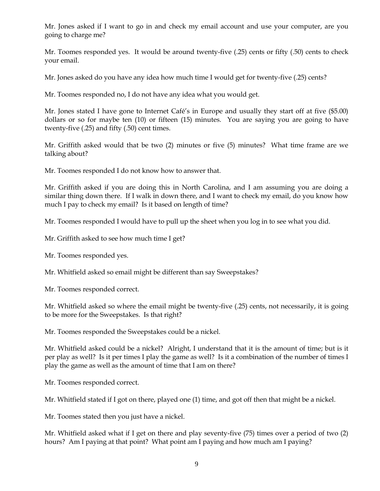Mr. Jones asked if I want to go in and check my email account and use your computer, are you going to charge me?

Mr. Toomes responded yes. It would be around twenty-five (.25) cents or fifty (.50) cents to check your email.

Mr. Jones asked do you have any idea how much time I would get for twenty-five (.25) cents?

Mr. Toomes responded no, I do not have any idea what you would get.

Mr. Jones stated I have gone to Internet Café's in Europe and usually they start off at five (\$5.00) dollars or so for maybe ten (10) or fifteen (15) minutes. You are saying you are going to have twenty-five (.25) and fifty (.50) cent times.

Mr. Griffith asked would that be two (2) minutes or five (5) minutes? What time frame are we talking about?

Mr. Toomes responded I do not know how to answer that.

Mr. Griffith asked if you are doing this in North Carolina, and I am assuming you are doing a similar thing down there. If I walk in down there, and I want to check my email, do you know how much I pay to check my email? Is it based on length of time?

Mr. Toomes responded I would have to pull up the sheet when you log in to see what you did.

Mr. Griffith asked to see how much time I get?

Mr. Toomes responded yes.

Mr. Whitfield asked so email might be different than say Sweepstakes?

Mr. Toomes responded correct.

Mr. Whitfield asked so where the email might be twenty-five (.25) cents, not necessarily, it is going to be more for the Sweepstakes. Is that right?

Mr. Toomes responded the Sweepstakes could be a nickel.

Mr. Whitfield asked could be a nickel? Alright, I understand that it is the amount of time; but is it per play as well? Is it per times I play the game as well? Is it a combination of the number of times I play the game as well as the amount of time that I am on there?

Mr. Toomes responded correct.

Mr. Whitfield stated if I got on there, played one (1) time, and got off then that might be a nickel.

Mr. Toomes stated then you just have a nickel.

Mr. Whitfield asked what if I get on there and play seventy-five (75) times over a period of two (2) hours? Am I paying at that point? What point am I paying and how much am I paying?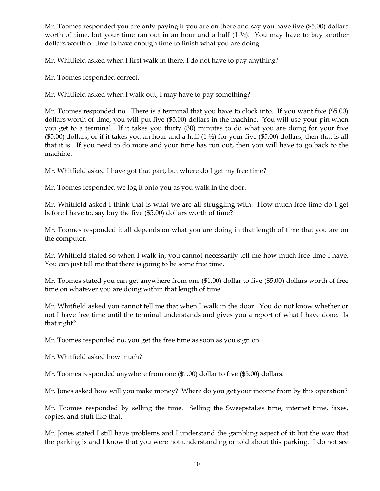Mr. Toomes responded you are only paying if you are on there and say you have five (\$5.00) dollars worth of time, but your time ran out in an hour and a half (1 ½). You may have to buy another dollars worth of time to have enough time to finish what you are doing.

Mr. Whitfield asked when I first walk in there, I do not have to pay anything?

Mr. Toomes responded correct.

Mr. Whitfield asked when I walk out, I may have to pay something?

Mr. Toomes responded no. There is a terminal that you have to clock into. If you want five (\$5.00) dollars worth of time, you will put five (\$5.00) dollars in the machine. You will use your pin when you get to a terminal. If it takes you thirty (30) minutes to do what you are doing for your five (\$5.00) dollars, or if it takes you an hour and a half  $(1 \frac{1}{2})$  for your five (\$5.00) dollars, then that is all that it is. If you need to do more and your time has run out, then you will have to go back to the machine.

Mr. Whitfield asked I have got that part, but where do I get my free time?

Mr. Toomes responded we log it onto you as you walk in the door.

Mr. Whitfield asked I think that is what we are all struggling with. How much free time do I get before I have to, say buy the five (\$5.00) dollars worth of time?

Mr. Toomes responded it all depends on what you are doing in that length of time that you are on the computer.

Mr. Whitfield stated so when I walk in, you cannot necessarily tell me how much free time I have. You can just tell me that there is going to be some free time.

Mr. Toomes stated you can get anywhere from one (\$1.00) dollar to five (\$5.00) dollars worth of free time on whatever you are doing within that length of time.

Mr. Whitfield asked you cannot tell me that when I walk in the door. You do not know whether or not I have free time until the terminal understands and gives you a report of what I have done. Is that right?

Mr. Toomes responded no, you get the free time as soon as you sign on.

Mr. Whitfield asked how much?

Mr. Toomes responded anywhere from one (\$1.00) dollar to five (\$5.00) dollars.

Mr. Jones asked how will you make money? Where do you get your income from by this operation?

Mr. Toomes responded by selling the time. Selling the Sweepstakes time, internet time, faxes, copies, and stuff like that.

Mr. Jones stated I still have problems and I understand the gambling aspect of it; but the way that the parking is and I know that you were not understanding or told about this parking. I do not see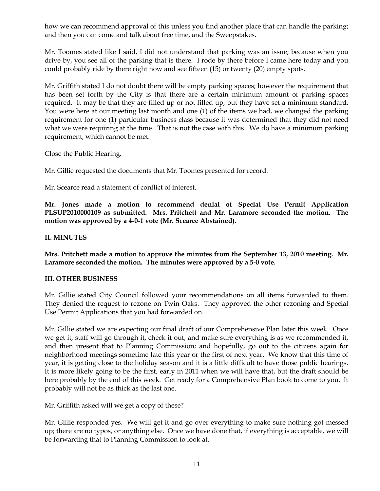how we can recommend approval of this unless you find another place that can handle the parking; and then you can come and talk about free time, and the Sweepstakes.

Mr. Toomes stated like I said, I did not understand that parking was an issue; because when you drive by, you see all of the parking that is there. I rode by there before I came here today and you could probably ride by there right now and see fifteen (15) or twenty (20) empty spots.

Mr. Griffith stated I do not doubt there will be empty parking spaces; however the requirement that has been set forth by the City is that there are a certain minimum amount of parking spaces required. It may be that they are filled up or not filled up, but they have set a minimum standard. You were here at our meeting last month and one (1) of the items we had, we changed the parking requirement for one (1) particular business class because it was determined that they did not need what we were requiring at the time. That is not the case with this. We do have a minimum parking requirement, which cannot be met.

Close the Public Hearing.

Mr. Gillie requested the documents that Mr. Toomes presented for record.

Mr. Scearce read a statement of conflict of interest.

**Mr. Jones made a motion to recommend denial of Special Use Permit Application PLSUP2010000109 as submitted. Mrs. Pritchett and Mr. Laramore seconded the motion. The motion was approved by a 4-0-1 vote (Mr. Scearce Abstained).** 

## **II. MINUTES**

**Mrs. Pritchett made a motion to approve the minutes from the September 13, 2010 meeting. Mr. Laramore seconded the motion. The minutes were approved by a 5-0 vote.**

## **III. OTHER BUSINESS**

Mr. Gillie stated City Council followed your recommendations on all items forwarded to them. They denied the request to rezone on Twin Oaks. They approved the other rezoning and Special Use Permit Applications that you had forwarded on.

Mr. Gillie stated we are expecting our final draft of our Comprehensive Plan later this week. Once we get it, staff will go through it, check it out, and make sure everything is as we recommended it, and then present that to Planning Commission; and hopefully, go out to the citizens again for neighborhood meetings sometime late this year or the first of next year. We know that this time of year, it is getting close to the holiday season and it is a little difficult to have those public hearings. It is more likely going to be the first, early in 2011 when we will have that, but the draft should be here probably by the end of this week. Get ready for a Comprehensive Plan book to come to you. It probably will not be as thick as the last one.

Mr. Griffith asked will we get a copy of these?

Mr. Gillie responded yes. We will get it and go over everything to make sure nothing got messed up; there are no typos, or anything else. Once we have done that, if everything is acceptable, we will be forwarding that to Planning Commission to look at.